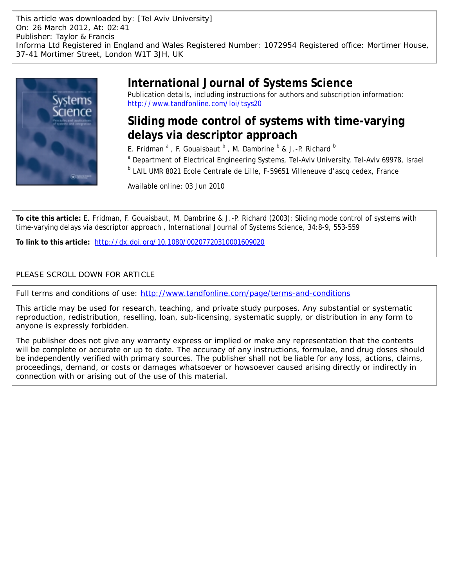This article was downloaded by: [Tel Aviv University] On: 26 March 2012, At: 02:41 Publisher: Taylor & Francis Informa Ltd Registered in England and Wales Registered Number: 1072954 Registered office: Mortimer House, 37-41 Mortimer Street, London W1T 3JH, UK



# **International Journal of Systems Science**

Publication details, including instructions for authors and subscription information: <http://www.tandfonline.com/loi/tsys20>

# **Sliding mode control of systems with time-varying delays via descriptor approach**

E. Fridman <sup>a</sup>, F. Gouaisbaut <sup>b</sup>, M. Dambrine <sup>b</sup> & J.-P. Richard <sup>b</sup>

<sup>a</sup> Department of Electrical Engineering Systems, Tel-Aviv University, Tel-Aviv 69978, Israel

<sup>b</sup> LAIL UMR 8021 Ecole Centrale de Lille, F-59651 Villeneuve d'ascq cedex, France

Available online: 03 Jun 2010

**To cite this article:** E. Fridman, F. Gouaisbaut, M. Dambrine & J.-P. Richard (2003): Sliding mode control of systems with time-varying delays via descriptor approach , International Journal of Systems Science, 34:8-9, 553-559

**To link to this article:** <http://dx.doi.org/10.1080/00207720310001609020>

# PLEASE SCROLL DOWN FOR ARTICLE

Full terms and conditions of use:<http://www.tandfonline.com/page/terms-and-conditions>

This article may be used for research, teaching, and private study purposes. Any substantial or systematic reproduction, redistribution, reselling, loan, sub-licensing, systematic supply, or distribution in any form to anyone is expressly forbidden.

The publisher does not give any warranty express or implied or make any representation that the contents will be complete or accurate or up to date. The accuracy of any instructions, formulae, and drug doses should be independently verified with primary sources. The publisher shall not be liable for any loss, actions, claims, proceedings, demand, or costs or damages whatsoever or howsoever caused arising directly or indirectly in connection with or arising out of the use of this material.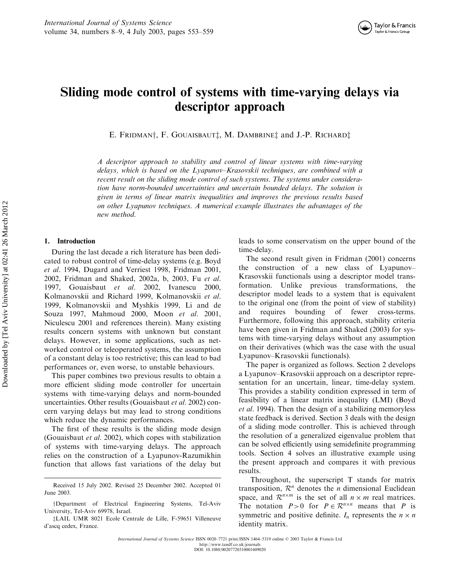

# Sliding mode control of systems with time-varying delays via descriptor approach

E. FRIDMAN<sup>†</sup>, F. GOUAISBAUT<sup>†</sup>, M. DAMBRINE<sup>†</sup> and J.-P. RICHARD<sup>†</sup>

A descriptor approach to stability and control of linear systems with time-varying delays, which is based on the Lyapunov–Krasovskii techniques, are combined with a recent result on the sliding mode control of such systems. The systems under consideration have norm-bounded uncertainties and uncertain bounded delays. The solution is given in terms of linear matrix inequalities and improves the previous results based on other Lyapunov techniques. A numerical example illustrates the advantages of the new method.

### 1. Introduction

During the last decade a rich literature has been dedicated to robust control of time-delay systems (e.g. Boyd et al. 1994, Dugard and Verriest 1998, Fridman 2001, 2002, Fridman and Shaked, 2002a, b, 2003, Fu et al. 1997, Gouaisbaut et al. 2002, Ivanescu 2000, Kolmanovskii and Richard 1999, Kolmanovskii et al. 1999, Kolmanovskii and Myshkis 1999, Li and de Souza 1997, Mahmoud 2000, Moon et al. 2001, Niculescu 2001 and references therein). Many existing results concern systems with unknown but constant delays. However, in some applications, such as networked control or teleoperated systems, the assumption of a constant delay is too restrictive; this can lead to bad performances or, even worse, to unstable behaviours.

This paper combines two previous results to obtain a more efficient sliding mode controller for uncertain systems with time-varying delays and norm-bounded uncertainties. Other results (Gouaisbaut et al. 2002) concern varying delays but may lead to strong conditions which reduce the dynamic performances.

The first of these results is the sliding mode design (Gouaisbaut et al. 2002), which copes with stabilization of systems with time-varying delays. The approach relies on the construction of a Lyapunov-Razumikhin function that allows fast variations of the delay but leads to some conservatism on the upper bound of the time-delay.

The second result given in Fridman (2001) concerns the construction of a new class of Lyapunov– Krasovskii functionals using a descriptor model transformation. Unlike previous transformations, the descriptor model leads to a system that is equivalent to the original one (from the point of view of stability) and requires bounding of fewer cross-terms. Furthermore, following this approach, stability criteria have been given in Fridman and Shaked (2003) for systems with time-varying delays without any assumption on their derivatives (which was the case with the usual Lyapunov–Krasovskii functionals).

The paper is organized as follows. Section 2 develops a Lyapunov–Krasovskii approach on a descriptor representation for an uncertain, linear, time-delay system. This provides a stability condition expressed in term of feasibility of a linear matrix inequality (LMI) (Boyd et al. 1994). Then the design of a stabilizing memoryless state feedback is derived. Section 3 deals with the design of a sliding mode controller. This is achieved through the resolution of a generalized eigenvalue problem that can be solved efficiently using semidefinite programming tools. Section 4 solves an illustrative example using the present approach and compares it with previous results.

Throughout, the superscript T stands for matrix transposition,  $\mathcal{R}^n$  denotes the *n* dimensional Euclidean space, and  $\mathcal{R}^{n \times m}$  is the set of all  $n \times m$  real matrices. The notation  $P>0$  for  $P \in \mathbb{R}^{n \times n}$  means that P is symmetric and positive definite.  $I_n$  represents the  $n \times n$ identity matrix.

Received 15 July 2002. Revised 25 December 2002. Accepted 01 June 2003.

yDepartment of Electrical Engineering Systems, Tel-Aviv University, Tel-Aviv 69978, Israel.

zLAIL UMR 8021 Ecole Centrale de Lille, F-59651 Villeneuve d'ascq cedex, France.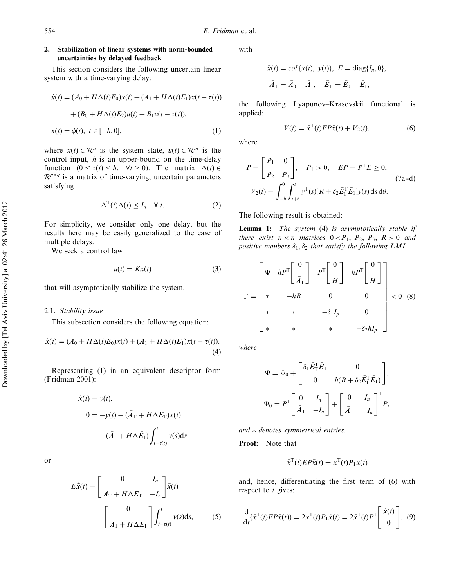## 2. Stabilization of linear systems with norm-bounded uncertainties by delayed feedback

This section considers the following uncertain linear system with a time-varying delay:

$$
\dot{x}(t) = (A_0 + H\Delta(t)E_0)x(t) + (A_1 + H\Delta(t)E_1)x(t - \tau(t))
$$

$$
+ (B_0 + H\Delta(t)E_2)u(t) + B_1u(t - \tau(t)),
$$

$$
x(t) = \phi(t), \ t \in [-h, 0], \tag{1}
$$

where  $x(t) \in \mathcal{R}^n$  is the system state,  $u(t) \in \mathcal{R}^m$  is the control input,  $h$  is an upper-bound on the time-delay function  $(0 \le \tau(t) \le h, \quad \forall t \ge 0)$ . The matrix  $\Delta(t) \in$  $\mathcal{R}^{p \times q}$  is a matrix of time-varying, uncertain parameters satisfying

$$
\Delta^{\mathrm{T}}(t)\Delta(t) \le I_q \quad \forall \ t. \tag{2}
$$

For simplicity, we consider only one delay, but the results here may be easily generalized to the case of multiple delays.

We seek a control law

$$
u(t) = Kx(t) \tag{3}
$$

that will asymptotically stabilize the system.

#### 2.1. Stability issue

This subsection considers the following equation:

$$
\dot{x}(t) = (\bar{A}_0 + H\Delta(t)\bar{E}_0)x(t) + (\bar{A}_1 + H\Delta(t)\bar{E}_1)x(t - \tau(t)).
$$
\n(4)

Representing (1) in an equivalent descriptor form (Fridman 2001):

$$
\dot{x}(t) = y(t),
$$
  
\n
$$
0 = -y(t) + (\bar{A}_T + H\Delta \bar{E}_T)x(t)
$$
  
\n
$$
- (\bar{A}_1 + H\Delta \bar{E}_1) \int_{t-\tau(t)}^t y(s)ds
$$

or

$$
E\dot{\bar{\mathbf{x}}}(t) = \begin{bmatrix} 0 & I_n \\ \bar{A}_T + H\Delta \bar{E}_T & -I_n \end{bmatrix} \bar{\mathbf{x}}(t)
$$

$$
- \begin{bmatrix} 0 \\ \bar{A}_1 + H\Delta \bar{E}_1 \end{bmatrix} \int_{t-\tau(t)}^t y(s) \mathrm{d}s, \qquad (5)
$$

with

$$
\bar{x}(t) = col\{x(t), y(t)\}, E = \text{diag}\{I_n, 0\},
$$

$$
\bar{A}_T = \bar{A}_0 + \bar{A}_1, \quad \bar{E}_T = \bar{E}_0 + \bar{E}_1,
$$

the following Lyapunov–Krasovskii functional is applied:

$$
V(t) = \bar{x}^{\mathrm{T}}(t)EP\bar{x}(t) + V_2(t),\tag{6}
$$

where

$$
P = \begin{bmatrix} P_1 & 0 \\ P_2 & P_3 \end{bmatrix}, \quad P_1 > 0, \quad EP = P^{\mathrm{T}}E \ge 0,
$$
  
\n
$$
V_2(t) = \int_{-h}^{0} \int_{t+\theta}^{t} y^{\mathrm{T}}(s)[R + \delta_2 \bar{E}_1^{\mathrm{T}} \bar{E}_1] y(s) \, ds \, d\theta.
$$
 (7a-d)

The following result is obtained:

Lemma 1: The system (4) is asymptotically stable if there exist  $n \times n$  matrices  $0 < P_1$ ,  $P_2$ ,  $P_3$ ,  $R > 0$  and positive numbers  $\delta_1, \delta_2$  that satisfy the following LMI:

$$
\Gamma = \begin{bmatrix} \Psi & hP^{\text{T}} \begin{bmatrix} 0 \\ \bar{A}_1 \end{bmatrix} & P^{\text{T}} \begin{bmatrix} 0 \\ H \end{bmatrix} & hP^{\text{T}} \begin{bmatrix} 0 \\ H \end{bmatrix} \\ * & -hR & 0 & 0 \\ * & * & -\delta_1 I_p & 0 \\ * & * & * & -\delta_2 h I_p \end{bmatrix} < 0
$$
 (8)

where

$$
\Psi = \Psi_0 + \begin{bmatrix} \delta_1 \bar{E}_T^T \bar{E}_T & 0 \\ 0 & h(R + \delta_2 \bar{E}_1^T \bar{E}_1) \end{bmatrix},
$$

$$
\Psi_0 = P^T \begin{bmatrix} 0 & I_n \\ \bar{A}_T & -I_n \end{bmatrix} + \begin{bmatrix} 0 & I_n \\ \bar{A}_T & -I_n \end{bmatrix}^T P,
$$

 $and * denotes symmetrical entries.$ 

Proof: Note that

$$
\bar{x}^{\mathrm{T}}(t)EP\bar{x}(t) = x^{\mathrm{T}}(t)P_1x(t)
$$

and, hence, differentiating the first term of (6) with respect to  $t$  gives:

$$
\frac{\mathrm{d}}{\mathrm{d}t}\{\bar{\mathbf{x}}^{\mathrm{T}}(t)EP\bar{\mathbf{x}}(t)\} = 2\mathbf{x}^{\mathrm{T}}(t)P_1\dot{\mathbf{x}}(t) = 2\bar{\mathbf{x}}^{\mathrm{T}}(t)P^{\mathrm{T}}\begin{bmatrix} \dot{\mathbf{x}}(t) \\ 0 \end{bmatrix}.
$$
 (9)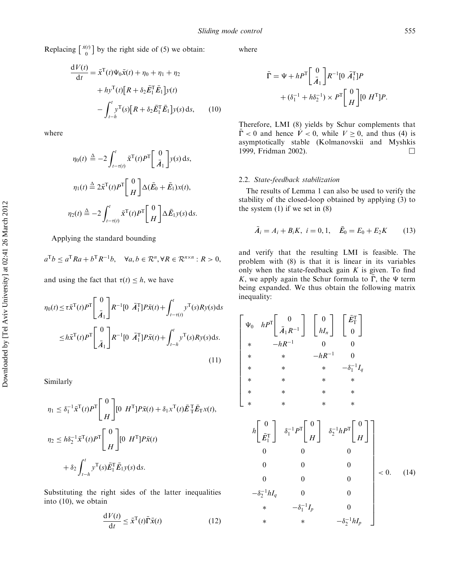Replacing  $\begin{bmatrix} \dot{x}(t) \\ 0 \end{bmatrix}$ - by the right side of (5) we obtain:

$$
\frac{dV(t)}{dt} = \bar{x}^{T}(t)\Psi_{0}\bar{x}(t) + \eta_{0} + \eta_{1} + \eta_{2}
$$

$$
+ h y^{T}(t)[R + \delta_{2}\bar{E}_{1}^{T}\bar{E}_{1}]y(t)
$$

$$
- \int_{t-h}^{t} y^{T}(s)[R + \delta_{2}\bar{E}_{1}^{T}\bar{E}_{1}]y(s) ds, \qquad (10)
$$

where

$$
\eta_0(t) \triangleq -2 \int_{t-\tau(t)}^t \bar{x}^{\mathrm{T}}(t) P^{\mathrm{T}} \left[ \frac{0}{\bar{A}_1} \right] y(s) \, \mathrm{d}s,
$$

$$
\eta_1(t) \triangleq 2\bar{x}^{\mathrm{T}}(t) P^{\mathrm{T}} \left[ \frac{0}{H} \right] \Delta(\bar{E}_0 + \bar{E}_1) x(t),
$$

$$
\eta_2(t) \triangleq -2 \int_{t-\tau(t)}^t \bar{x}^{\mathrm{T}}(t) P^{\mathrm{T}} \left[ \frac{0}{H} \right] \Delta \bar{E}_1 y(s) \, \mathrm{d}s.
$$

Applying the standard bounding

$$
a^{\mathrm{T}}b \le a^{\mathrm{T}}Ra + b^{\mathrm{T}}R^{-1}b, \quad \forall a, b \in \mathcal{R}^n, \forall R \in \mathcal{R}^{n \times n}: R > 0,
$$

and using the fact that  $\tau(t) \leq h$ , we have

$$
\eta_0(t) \le \tau \bar{x}^{T}(t) P^{T} \begin{bmatrix} 0 \\ \bar{A}_1 \end{bmatrix} R^{-1} [0 \ \bar{A}_1^{T}] P \bar{x}(t) + \int_{t-\tau(t)}^{t} y^{T}(s) R y(s) ds \n\le h \bar{x}^{T}(t) P^{T} \begin{bmatrix} 0 \\ \bar{A}_1 \end{bmatrix} R^{-1} [0 \ \bar{A}_1^{T}] P \bar{x}(t) + \int_{t-h}^{t} y^{T}(s) R y(s) ds.
$$
\n(11)

Similarly

$$
\eta_1 \leq \delta_1^{-1} \bar{x}^{\mathrm{T}}(t) P^{\mathrm{T}} \begin{bmatrix} 0 \\ H \end{bmatrix} [0 H^{\mathrm{T}}] P \bar{x}(t) + \delta_1 x^{\mathrm{T}}(t) \bar{E}_{\mathrm{T}}^{\mathrm{T}} \bar{E}_{\mathrm{T}} x(t),
$$
  

$$
\eta_2 \leq h \delta_2^{-1} \bar{x}^{\mathrm{T}}(t) P^{\mathrm{T}} \begin{bmatrix} 0 \\ H \end{bmatrix} [0 H^{\mathrm{T}}] P \bar{x}(t)
$$
  

$$
+ \delta_2 \int_{t-h}^t y^{\mathrm{T}}(s) \bar{E}_{\mathrm{T}}^{\mathrm{T}} \bar{E}_{\mathrm{T}} y(s) ds.
$$

Substituting the right sides of the latter inequalities into (10), we obtain

$$
\frac{\mathrm{d}V(t)}{\mathrm{d}t} \le \bar{x}^{\mathrm{T}}(t)\bar{\Gamma}\bar{x}(t) \tag{12}
$$

where

$$
\bar{\Gamma} = \Psi + hP^{\mathrm{T}} \left[ \frac{0}{\bar{A}_1} \right] R^{-1} [0 \ \bar{A}_1^{\mathrm{T}}] P
$$

$$
+ (\delta_1^{-1} + h\delta_2^{-1}) \times P^{\mathrm{T}} \left[ \frac{0}{H} \right] [0 \ H^{\mathrm{T}}] P.
$$

Therefore, LMI (8) yields by Schur complements that  $\overline{\Gamma}$  < 0 and hence  $\overline{V}$  < 0, while  $V \ge 0$ , and thus (4) is asymptotically stable (Kolmanovskii and Myshkis 1999, Fridman 2002). œ

### 2.2. State-feedback stabilization

The results of Lemma 1 can also be used to verify the stability of the closed-loop obtained by applying (3) to the system  $(1)$  if we set in  $(8)$ 

$$
\bar{A}_i = A_i + B_i K, \ i = 0, 1, \quad \bar{E}_0 = E_0 + E_2 K \tag{13}
$$

and verify that the resulting LMI is feasible. The problem with (8) is that it is linear in its variables only when the state-feedback gain  $K$  is given. To find K, we apply again the Schur formula to  $\overline{\Gamma}$ , the  $\Psi$  term being expanded. We thus obtain the following matrix inequality:

$$
\begin{bmatrix}\n\Psi_0 & hP^T\n\end{bmatrix}\n\begin{bmatrix}\n0 \\
\bar{A}_1R^{-1}\n\end{bmatrix}\n\begin{bmatrix}\n0 \\
hI_n\n\end{bmatrix}\n\begin{bmatrix}\n\bar{E}_1^T \\
0\n\end{bmatrix}
$$
\n
$$
\begin{array}{ccc}\n\ast & \ast & -hR^{-1} & 0 \\
\ast & \ast & \ast & -\delta_1^{-1}I_q \\
\ast & \ast & \ast & \ast \\
\ast & \ast & \ast & \ast\n\end{array}
$$
\n
$$
\begin{bmatrix}\n0 \\
\ast & \ast & \ast \\
\ast & \ast & \ast \\
\ast & \ast & \ast\n\end{bmatrix}\n\begin{array}{ccc}\n\ast & \ast & \ast \\
\ast & \ast & \ast \\
0 & 0 & 0 \\
0 & 0 & 0 \\
0 & 0 & 0 \\
0 & 0 & 0\n\end{array}
$$
\n
$$
\begin{array}{ccc}\n0 \\
0 \\
0 \\
0 \\
0\n\end{array}
$$
\n
$$
\begin{array}{ccc}\n0 \\
0 \\
0 \\
0 \\
0\n\end{array}
$$
\n
$$
\begin{array}{ccc}\n-\delta_2^{-1}hI_q & 0 & 0 \\
0 & \ast & -\delta_1^{-1}I_p & 0 \\
0 & \ast & -\delta_2^{-1}hI_p\n\end{array}
$$
\n
$$
\begin{array}{ccc}\n\ast & \ast & -\delta_2^{-1}hI_p\n\end{array}
$$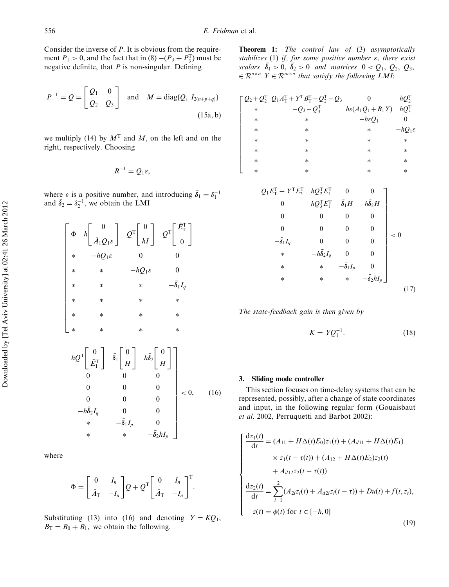Consider the inverse of  $P$ . It is obvious from the requirement  $P_1 > 0$ , and the fact that in  $(8) - (P_3 + P_3^T)$  must be negative definite, that  $P$  is non-singular. Defining

$$
P^{-1} = Q = \begin{bmatrix} Q_1 & 0 \\ Q_2 & Q_3 \end{bmatrix}
$$
 and  $M = \text{diag}{Q, I_{2(n+p+q)}}$   
(15a, b)

we multiply (14) by  $M<sup>T</sup>$  and M, on the left and on the right, respectively. Choosing

$$
R^{-1}=Q_1\varepsilon,
$$

where  $\varepsilon$  is a positive number, and introducing  $\bar{\delta}_1 = \delta_1^{-1}$ and  $\bar{\delta}_2 = \delta_2^{-1}$ , we obtain the LMI

$$
\begin{bmatrix}\n\Phi & h\n\end{bmatrix}\n\begin{bmatrix}\n0 \\
\bar{A}_1Q_1\varepsilon\n\end{bmatrix}\n\begin{bmatrix}\nQ^T\n\end{bmatrix}\n\begin{bmatrix}\n0 \\
hI\n\end{bmatrix}\n\begin{bmatrix}\nQ^T\n\end{bmatrix}\n\begin{bmatrix}\n\bar{E}_1^T \\
0\n\end{bmatrix}
$$
\n
$$
\begin{array}{cccc}\n\ast & \ast & -hQ_1\varepsilon & 0 \\
\ast & \ast & \ast & -\bar{\delta}_1I_q \\
\ast & \ast & \ast & \ast \\
\ast & \ast & \ast & \ast \\
\ast & \ast & \ast & \ast \\
\ast & \ast & \ast & \ast\n\end{array}
$$
\n
$$
hQ^T\n\begin{bmatrix}\n0 \\
\bar{E}_1^T\n\end{bmatrix}\n\begin{bmatrix}\n0 \\
\bar{S}_1\n\end{bmatrix}\n\begin{bmatrix}\nh\bar{S}_2\n\end{bmatrix}\n\begin{bmatrix}\n0 \\
H\n\end{bmatrix}
$$
\n
$$
0 & 0 & 0 \\
0 & 0 & 0 \\
0 & 0 & 0 \\
0 & 0 & 0 \\
0 & -h\bar{S}_2I_q & 0 \\
0 & \ast & -\bar{\delta}_1I_p & 0 \\
0 & \ast & -\bar{\delta}_2hI_p\n\end{bmatrix} < 0, \quad (16)
$$

where

$$
\Phi = \begin{bmatrix} 0 & I_n \\ \bar{A}_T & -I_n \end{bmatrix} Q + Q^{\text{T}} \begin{bmatrix} 0 & I_n \\ \bar{A}_T & -I_n \end{bmatrix}^{\text{T}}.
$$

Substituting (13) into (16) and denoting  $Y = KQ_1$ ,  $B_T = B_0 + B_1$ , we obtain the following.

Theorem 1: The control law of (3) asymptotically stabilizes (1) if, for some positive number  $\varepsilon$ , there exist scalars  $\bar{\delta}_1 > 0$ ,  $\bar{\delta}_2 > 0$  and matrices  $0 < Q_1$ ,  $Q_2$ ,  $Q_3$ ,  $\in \mathcal{R}^{n \times n}$   $Y \in \mathcal{R}^{m \times n}$  that satisfy the following LMI:

|        | $\lceil Q_2 + Q_2^{\text{T}} Q_1 A_1^{\text{T}} + Y^{\text{T}} B_1^{\text{T}} - Q_2^{\text{T}} + Q_3$ |                             | $hQ_2^{\rm T}$      |
|--------|-------------------------------------------------------------------------------------------------------|-----------------------------|---------------------|
| $\ast$ | $-Q_3 - Q_3^T$                                                                                        | $h\varepsilon(A_1Q_1+B_1Y)$ | $hQ_3^{\mathrm{T}}$ |
| $\ast$ | $\ast$                                                                                                | $-h\varepsilon Q_1$         |                     |
| $\ast$ | *                                                                                                     | $\ast$                      | $-hO_1\varepsilon$  |
| $\ast$ | *                                                                                                     | $\ast$                      | $\ast$              |
| $\ast$ | *                                                                                                     | $\ast$                      | $\ast$              |
| $\ast$ | *                                                                                                     | $\ast$                      | $\ast$              |
| $\ast$ | *                                                                                                     | $\ast$                      | $\ast$              |

$$
Q_1 E_1^{\text{T}} + Y^{\text{T}} E_2^{\text{T}} \hspace{0.2cm} h Q_2^{\text{T}} E_1^{\text{T}} \hspace{0.2cm} 0 \hspace{0.2cm} 0 \hspace{0.2cm} h Q_3^{\text{T}} E_1^{\text{T}} \hspace{0.2cm} \tilde{\delta}_1 H \hspace{0.2cm} h \tilde{\delta}_2 H
$$
\n
$$
0 \hspace{0.2cm} 0 \hspace{0.2cm} 0 \hspace{0.2cm} 0 \hspace{0.2cm} 0
$$
\n
$$
- \tilde{\delta}_1 I_q \hspace{0.2cm} 0 \hspace{0.2cm} 0 \hspace{0.2cm} 0 \hspace{0.2cm} 0
$$
\n
$$
\ast \hspace{0.2cm} - h \tilde{\delta}_2 I_q \hspace{0.2cm} 0 \hspace{0.2cm} 0 \hspace{0.2cm} 0
$$
\n
$$
\ast \hspace{0.2cm} \ast \hspace{0.2cm} - \tilde{\delta}_1 I_p \hspace{0.2cm} 0 \hspace{0.2cm} 0 \hspace{0.2cm} 0 \hspace{0.2cm} \ast \hspace{0.2cm} - \tilde{\delta}_2 h I_p \hspace{0.2cm} 0 \hspace{0.2cm} (17)
$$

The state-feedback gain is then given by

$$
K = YQ_1^{-1}.\tag{18}
$$

#### 3. Sliding mode controller

This section focuses on time-delay systems that can be represented, possibly, after a change of state coordinates and input, in the following regular form (Gouaisbaut et al. 2002, Perruquetti and Barbot 2002):

$$
\begin{cases}\n\frac{dz_1(t)}{dt} = (A_{11} + H\Delta(t)E_0)z_1(t) + (A_{d11} + H\Delta(t)E_1) \\
\times z_1(t - \tau(t)) + (A_{12} + H\Delta(t)E_2)z_2(t) \\
+ A_{d12}z_2(t - \tau(t))\n\end{cases}
$$
\n
$$
\frac{dz_2(t)}{dt} = \sum_{i=1}^2 (A_{2i}z_i(t) + A_{d2i}z_i(t - \tau)) + Du(t) + f(t, z_t),
$$
\n
$$
z(t) = \phi(t) \text{ for } t \in [-h, 0]
$$
\n(19)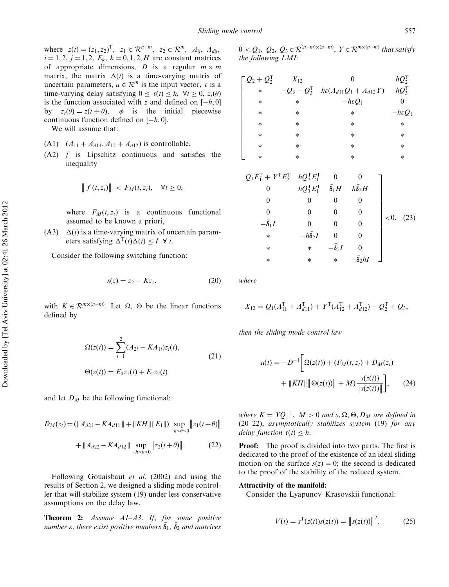where  $z(t) = (z_1, z_2)^T$ ,  $z_1 \in \mathcal{R}^{n-m}$ ,  $z_2 \in \mathcal{R}^m$ ,  $A_{ij}$ ,  $A_{dij}$ ,  $i = 1, 2, j = 1, 2, E_k, k = 0, 1, 2, H$  are constant matrices of appropriate dimensions, D is a regular  $m \times m$ matrix, the matrix  $\Delta(t)$  is a time-varying matrix of uncertain parameters,  $u \in \mathcal{R}^m$  is the input vector,  $\tau$  is a time-varying delay satisfying  $0 \leq \tau(t) \leq h$ ,  $\forall t \geq 0$ ,  $z_t(\theta)$ is the function associated with z and defined on  $[-h, 0]$ by  $z_t(\theta) = z(t + \theta)$ ,  $\phi$  is the initial piecewise continuous function defined on  $[-h, 0]$ .

We will assume that:

- (A1)  $(A_{11} + A_{d11}, A_{12} + A_{d12})$  is controllable.
- (A2) f is Lipschitz continuous and satisfies the inequality

$$
\|f(t,z_t)\| < F_M(t,z_t), \quad \forall t \geq 0,
$$

where  $F_M(t, z_t)$  is a continuous functional assumed to be known a priori,

(A3)  $\Delta(t)$  is a time-varying matrix of uncertain parameters satisfying  $\Delta^{T}(t)\Delta(t) \leq I \ \forall t$ .

Consider the following switching function:

$$
s(z) = z_2 - Kz_1,\t(20)
$$

with  $K \in \mathbb{R}^{m \times (n-m)}$ . Let  $\Omega$ ,  $\Theta$  be the linear functions defined by

$$
\Omega(z(t)) = \sum_{i=1}^{2} (A_{2i} - KA_{1i})z_i(t),
$$
  
\n
$$
\Theta(z(t)) = E_0 z_1(t) + E_2 z_2(t)
$$
\n(21)

and let  $D_M$  be the following functional:

$$
D_M(z_t) = (\|A_{d21} - KA_{d11}\| + \|KH\| \|E_1\|) \sup_{-h \le \theta \le 0} \|z_1(t + \theta)\|
$$
  
+ 
$$
\|A_{d22} - KA_{d12}\| \sup_{-h \le \theta \le 0} \|z_2(t + \theta)\|.
$$
 (22)

Following Gouaisbaut et al. (2002) and using the results of Section 2, we designed a sliding mode controller that will stabilize system (19) under less conservative assumptions on the delay law.

**Theorem 2:** Assume  $A1-A3$ . If, for some positive number  $\varepsilon$ , there exist positive numbers  $\bar{\delta}_1, \, \bar{\delta}_2$  and matrices

 $0 < Q_1, Q_2, Q_3 \in \mathcal{R}^{(n-m)\times(n-m)}, Y \in \mathcal{R}^{m\times(n-m)}$  that satisfy the following LMI:

| $\lceil Q_2 + Q_2^{\mathrm{T}} \rceil$ | $X_{12}$ | 0                                                 | $hQ_2^{\mathrm{T}}$ |
|----------------------------------------|----------|---------------------------------------------------|---------------------|
| $\ast$                                 |          | $-Q_3 - Q_3^T$ $h\epsilon(A_{d11}Q_1 + A_{d12}Y)$ | $hQ_3^{\mathrm{T}}$ |
| $\ast$                                 | $\ast$   | $-h\varepsilon Q_1$                               |                     |
| $\ast$                                 | $\ast$   | $\ast$                                            | $-h\varepsilon Q_1$ |
| $\ast$                                 | $\ast$   | $\ast$                                            | $\ast$              |
| $\ast$                                 | $\ast$   | $\ast$                                            | $\ast$              |
| $\ast$                                 | $\ast$   | *                                                 | $\ast$              |
| $\ast$                                 | $\ast$   | $\ast$                                            | $\ast$              |

$$
Q_1E_1^{\text{T}} + Y^{\text{T}}E_2^{\text{T}} \hspace{0.2cm} hQ_2^{\text{T}}E_1^{\text{T}} \hspace{0.2cm} 0 \hspace{0.2cm} 0 \hspace{0.2cm} 0 \hspace{0.2cm} 0 \hspace{0.2cm} hQ_3^{\text{T}}E_1^{\text{T}} \hspace{0.2cm} \bar{\delta}_1 H \hspace{0.2cm} h\bar{\delta}_2 H \hspace{0.2cm} 0 \hspace{0.2cm} 0 \hspace{0.2cm} 0 \hspace{0.2cm} 0 \hspace{0.2cm} 0 \hspace{0.2cm} 0 \hspace{0.2cm} 0 \hspace{0.2cm} 0 \hspace{0.2cm} * \hspace{0.2cm} -h\bar{\delta}_2 I \hspace{0.2cm} 0 \hspace{0.2cm} 0 \hspace{0.2cm} * \hspace{0.2cm} * \hspace{0.2cm} * \hspace{0.2cm} * \hspace{0.2cm} * \hspace{0.2cm} * \hspace{0.2cm} * \hspace{0.2cm} * \hspace{0.2cm} -\bar{\delta}_2 hI \hspace{0.2cm} 0 \hspace{0.2cm} 0 \hspace{0.2cm} 0 \hspace{0.2cm} 0 \hspace{0.2cm} 0 \hspace{0.2cm} 0 \hspace{0.2cm} 0 \hspace{0.2cm} 0 \hspace{0.2cm} 0 \hspace{0.2cm} 0 \hspace{0.2cm} 0 \hspace{0.2cm} 0 \hspace{0.2cm} 0 \hspace{0.2cm} 0 \hspace{0.2cm} 0 \hspace{0.2cm} 0 \hspace{0.2cm} 0 \hspace{0.2cm} 0 \hspace{0.2cm} 0 \hspace{0.2cm} 0 \hspace{0.2cm} 0 \hspace{0.2cm} 0 \hspace{0.2cm} 0 \hspace{0.2cm} 0 \hspace{0.2cm} 0 \hspace{0.2cm} 0 \hspace{0.2cm} 0 \hspace{0.2cm} 0 \hspace{0.2cm} 0 \hspace{0.2cm} 0 \hspace{0.2cm} 0 \hspace{0.2cm} 0 \hspace{0.2cm} 0 \hspace{0
$$

where

$$
X_{12} = Q_1(A_{11}^{\mathrm{T}} + A_{d11}^{\mathrm{T}}) + Y^{\mathrm{T}}(A_{12}^{\mathrm{T}} + A_{d12}^{\mathrm{T}}) - Q_2^{\mathrm{T}} + Q_3,
$$

then the sliding mode control law

$$
u(t) = -D^{-1} \Big[ \Omega(z(t)) + (F_M(t, z_t) + D_M(z_t) + ||KH|| \Big] \Theta(z(t)) || + M) \frac{s(z(t))}{\|s(z(t))\|} \Big], \qquad (24)
$$

where  $K = YQ_1^{-1}$ ,  $M > 0$  and  $s, \Omega, \Theta, D_M$  are defined in (20–22), asymptotically stabilizes system (19) for any delay function  $\tau(t) \leq h$ .

**Proof:** The proof is divided into two parts. The first is dedicated to the proof of the existence of an ideal sliding motion on the surface  $s(z) = 0$ ; the second is dedicated to the proof of the stability of the reduced system.

#### Attractivity of the manifold:

Consider the Lyapunov–Krasovskii functional:

$$
V(t) = s^{T}(z(t))s(z(t)) = ||s(z(t)||^{2}.
$$
 (25)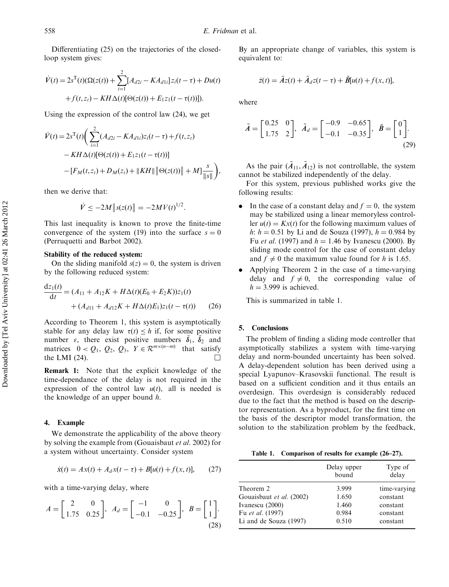Differentiating (25) on the trajectories of the closedloop system gives:

$$
\dot{V}(t) = 2s^{T}(t)(\Omega(z(t)) + \sum_{i=1}^{2} [A_{d2i} - KA_{d1i}] z_{i}(t - \tau) + Du(t) \n+ f(t, z_{t}) - KH \Delta(t)[\Theta(z(t)) + E_{1} z_{1}(t - \tau(t))]).
$$

Using the expression of the control law (24), we get

$$
\dot{V}(t) = 2s^{T}(t) \left( \sum_{i=1}^{2} (A_{d2i} - KA_{d1i}) z_{i}(t-\tau) + f(t, z_{t}) - KH \Delta(t) [\Theta(z(t)) + E_{1} z_{1}(t-\tau(t))] - [F_{M}(t, z_{t}) + D_{M}(z_{t}) + ||KH|| \Theta(z(t)) || + M] \frac{s}{||s||} \right),
$$

then we derive that:

$$
\dot{V} \le -2M \|s(z(t)\| = -2MV(t)^{1/2}.
$$

This last inequality is known to prove the finite-time convergence of the system (19) into the surface  $s = 0$ (Perruquetti and Barbot 2002).

### Stability of the reduced system:

On the sliding manifold  $s(z) = 0$ , the system is driven by the following reduced system:

$$
\frac{dz_1(t)}{dt} = (A_{11} + A_{12}K + H\Delta(t)(E_0 + E_2K))z_1(t) + (A_{d11} + A_{d12}K + H\Delta(t)E_1)z_1(t - \tau(t))
$$
(26)

According to Theorem 1, this system is asymptotically stable for any delay law  $\tau(t) \leq h$  if, for some positive number  $\varepsilon$ , there exist positive numbers  $\bar{\delta}_1$ ,  $\bar{\delta}_2$  and matrices  $0 < Q_1, Q_2, Q_3, Y \in \mathcal{R}^{m \times (n-m)}$  that satisfy the LMI (24).

Remark 1: Note that the explicit knowledge of the time-dependance of the delay is not required in the expression of the control law  $u(t)$ , all is needed is the knowledge of an upper bound h.

#### 4. Example

We demonstrate the applicability of the above theory by solving the example from (Gouaisbaut et al. 2002) for a system without uncertainty. Consider system

$$
\dot{x}(t) = Ax(t) + A_d x(t - \tau) + B[u(t) + f(x, t)],
$$
 (27)

with a time-varying delay, where

$$
A = \begin{bmatrix} 2 & 0 \\ 1.75 & 0.25 \end{bmatrix}, A_d = \begin{bmatrix} -1 & 0 \\ -0.1 & -0.25 \end{bmatrix}, B = \begin{bmatrix} 1 \\ 1 \end{bmatrix}.
$$
\n(28)

By an appropriate change of variables, this system is equivalent to:

$$
\dot{z}(t) = \tilde{A}z(t) + \tilde{A}_d z(t-\tau) + \tilde{B}[u(t) + f(x, t)],
$$

where

$$
\tilde{A} = \begin{bmatrix} 0.25 & 0 \\ 1.75 & 2 \end{bmatrix}, \ \tilde{A}_d = \begin{bmatrix} -0.9 & -0.65 \\ -0.1 & -0.35 \end{bmatrix}, \ \tilde{B} = \begin{bmatrix} 0 \\ 1 \end{bmatrix}.
$$
\n(29)

As the pair  $(\tilde{A}_{11}, \tilde{A}_{12})$  is not controllable, the system cannot be stabilized independently of the delay.

For this system, previous published works give the following results:

- In the case of a constant delay and  $f = 0$ , the system may be stabilized using a linear memoryless controller  $u(t) = Kx(t)$  for the following maximum values of h:  $h = 0.51$  by Li and de Souza (1997),  $h = 0.984$  by Fu *et al.* (1997) and  $h = 1.46$  by Ivanescu (2000). By sliding mode control for the case of constant delay and  $f \neq 0$  the maximum value found for h is 1.65.
- . Applying Theorem 2 in the case of a time-varying delay and  $f \neq 0$ , the corresponding value of  $h = 3.999$  is achieved.

This is summarized in table 1.

#### 5. Conclusions

The problem of finding a sliding mode controller that asymptotically stabilizes a system with time-varying delay and norm-bounded uncertainty has been solved. A delay-dependent solution has been derived using a special Lyapunov–Krasovskii functional. The result is based on a sufficient condition and it thus entails an overdesign. This overdesign is considerably reduced due to the fact that the method is based on the descriptor representation. As a byproduct, for the first time on the basis of the descriptor model transformation, the solution to the stabilization problem by the feedback,

Table 1. Comparison of results for example (26–27).

|                          | Delay upper<br>bound | Type of<br>delay |
|--------------------------|----------------------|------------------|
| Theorem 2                | 3.999                | time-varying     |
| Gouaisbaut et al. (2002) | 1.650                | constant         |
| Ivanescu (2000)          | 1.460                | constant         |
| Fu et al. (1997)         | 0.984                | constant         |
| Li and de Souza (1997)   | 0.510                | constant         |